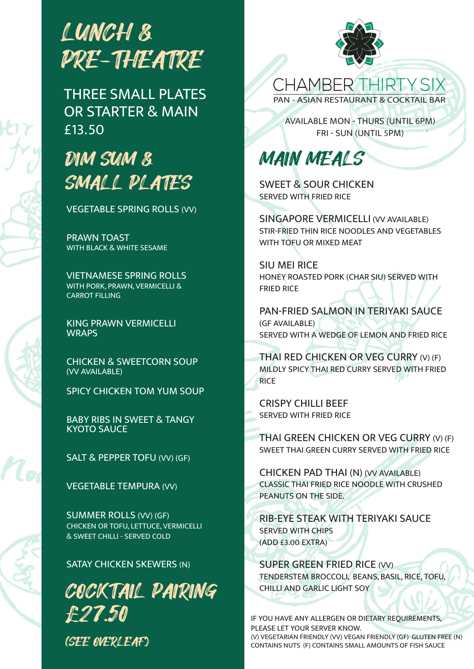

THREE SMALL PLATES OR STARTER & MAIN £13.50

### DIM SUM & SMALL PLATES

VEGETABLE SPRING ROLLS (VV)

PRAWN TOAST WITH BLACK & WHITE SESAME

VIETNAMESE SPRING ROLLS WITH PORK, PRAWN, VERMICELLI & CARROT FILLING

KING PRAWN VERMICELLI **WRAPS** 

CHICKEN & SWEETCORN SOUP (VV AVAILABLE)

SPICY CHICKEN TOM YUM SOUP

BABY RIBS IN SWEET & TANGY KYOTO SAUCE

SALT & PEPPER TOFU (VV) (GF)

VEGETABLE TEMPURA (VV)

SUMMER ROLLS (VV) (GF) CHICKEN OR TOFU, LETTUCE, VERMICELLI & SWEET CHILLI - SERVED COLD

#### SATAY CHICKEN SKEWERS (N)

COCKTAIL PAIRING £27.50 (SEE OVERLEAF)



**CHAMBER THIRTY SIX** PAN - ASIAN RESTAURANT & COCKTAIL BAR

AVAILABLE MON - THURS (UNTIL 6PM) FRI - SUN (UNTIL 5PM)

MAIN MEALS

SWEET & SOUR CHICKEN SERVED WITH FRIED RICE

SINGAPORE VERMICELLI (VV AVAILABLE) STIR-FRIED THIN RICE NOODLES AND VEGETABLES WITH TOFU OR MIXED MEAT

SIU MEI RICE HONEY ROASTED PORK (CHAR SIU) SERVED WITH FRIED RICE

PAN-FRIED SALMON IN TERIYAKI SAUCE (GF AVAILABLE) SERVED WITH A WEDGE OF LEMON AND FRIED RICE

THAI RED CHICKEN OR VEG CURRY (V) (F) MILDLY SPICY THAI RED CURRY SERVED WITH FRIED RICE

CRISPY CHILLI BEEF SERVED WITH FRIED RICE

THAI GREEN CHICKEN OR VEG CURRY (V) (F) SWEET THAI GREEN CURRY SERVED WITH FRIED RICE

CHICKEN PAD THAI (N) (VV AVAILABLE) CLASSIC THAI FRIED RICE NOODLE WITH CRUSHED PEANUTS ON THE SIDE.

RIB-EYE STEAK WITH TERIYAKI SAUCE SERVED WITH CHIPS (ADD £3.00 EXTRA)

SUPER GREEN FRIED RICE (VV) TENDERSTEM BROCCOLI, BEANS, BASIL, RICE, TOFU, CHILLI AND GARLIC LIGHT SOY

IF YOU HAVE ANY ALLERGEN OR DIETARY REQUIREMENTS, PLEASE LET YOUR SERVER KNOW. (V) VEGETARIAN FRIENDLY (VV) VEGAN FRIENDLY (GF) GLUTEN FREE (N) CONTAINS NUTS (F) CONTAINS SMALL AMOUNTS OF FISH SAUCE